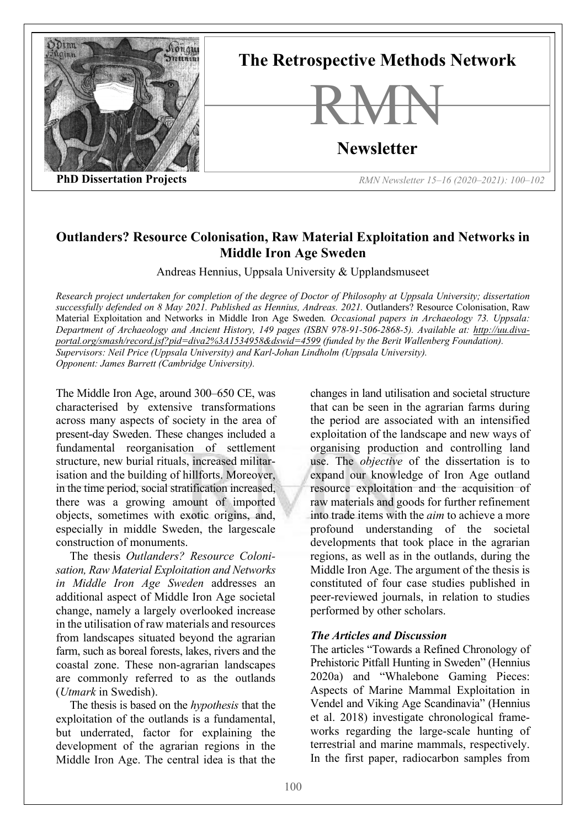

# **Outlanders? Resource Colonisation, Raw Material Exploitation and Networks in Middle Iron Age Sweden**

Andreas Hennius, Uppsala University & Upplandsmuseet

*Research project undertaken for completion of the degree of Doctor of Philosophy at Uppsala University; dissertation successfully defended on 8 May 2021. Published as Hennius, Andreas. 2021.* Outlanders? Resource Colonisation, Raw Material Exploitation and Networks in Middle Iron Age Sweden*. Occasional papers in Archaeology 73. Uppsala: Department of Archaeology and Ancient History, 149 pages (ISBN 978-91-506-2868-5). Available at: http://uu.divaportal.org/smash/record.jsf?pid=diva2%3A1534958&dswid=4599 (funded by the Berit Wallenberg Foundation). Supervisors: Neil Price (Uppsala University) and Karl-Johan Lindholm (Uppsala University). Opponent: James Barrett (Cambridge University).* 

The Middle Iron Age, around 300–650 CE, was characterised by extensive transformations across many aspects of society in the area of present-day Sweden. These changes included a fundamental reorganisation of settlement structure, new burial rituals, increased militarisation and the building of hillforts. Moreover, in the time period, social stratification increased, there was a growing amount of imported objects, sometimes with exotic origins, and, especially in middle Sweden, the largescale construction of monuments.

The thesis *Outlanders? Resource Colonisation, Raw Material Exploitation and Networks in Middle Iron Age Sweden* addresses an additional aspect of Middle Iron Age societal change, namely a largely overlooked increase in the utilisation of raw materials and resources from landscapes situated beyond the agrarian farm, such as boreal forests, lakes, rivers and the coastal zone. These non-agrarian landscapes are commonly referred to as the outlands (*Utmark* in Swedish).

The thesis is based on the *hypothesis* that the exploitation of the outlands is a fundamental, but underrated, factor for explaining the development of the agrarian regions in the Middle Iron Age. The central idea is that the

changes in land utilisation and societal structure that can be seen in the agrarian farms during the period are associated with an intensified exploitation of the landscape and new ways of organising production and controlling land use. The *objective* of the dissertation is to expand our knowledge of Iron Age outland resource exploitation and the acquisition of raw materials and goods for further refinement into trade items with the *aim* to achieve a more profound understanding of the societal developments that took place in the agrarian regions, as well as in the outlands, during the Middle Iron Age. The argument of the thesis is constituted of four case studies published in peer-reviewed journals, in relation to studies performed by other scholars.

# *The Articles and Discussion*

The articles "Towards a Refined Chronology of Prehistoric Pitfall Hunting in Sweden" (Hennius 2020a) and "Whalebone Gaming Pieces: Aspects of Marine Mammal Exploitation in Vendel and Viking Age Scandinavia" (Hennius et al. 2018) investigate chronological frameworks regarding the large-scale hunting of terrestrial and marine mammals, respectively. In the first paper, radiocarbon samples from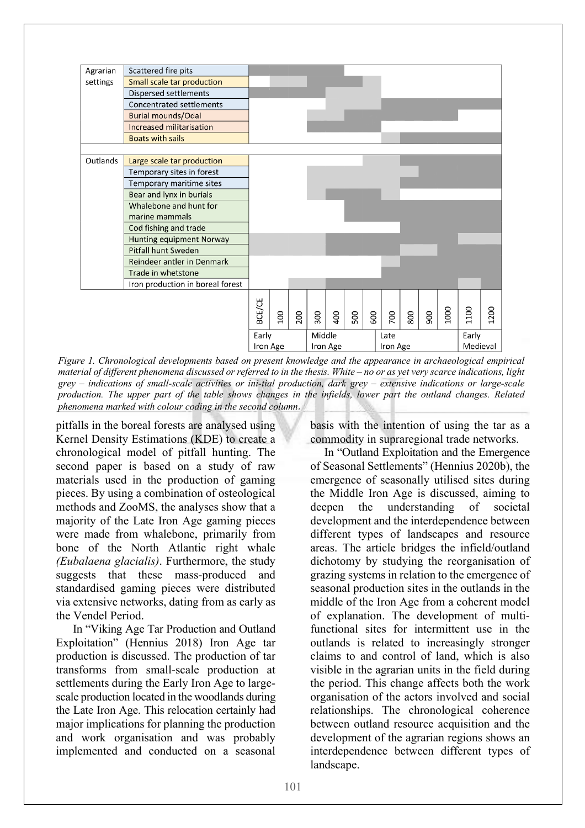

*Figure 1. Chronological developments based on present knowledge and the appearance in archaeological empirical material of different phenomena discussed or referred to in the thesis. White – no or as yet very scarce indications, light grey – indications of small-scale activities or ini-tial production, dark grey – extensive indications or large-scale production. The upper part of the table shows changes in the infields, lower part the outland changes. Related phenomena marked with colour coding in the second column*.

pitfalls in the boreal forests are analysed using Kernel Density Estimations (KDE) to create a chronological model of pitfall hunting. The second paper is based on a study of raw materials used in the production of gaming pieces. By using a combination of osteological methods and ZooMS, the analyses show that a majority of the Late Iron Age gaming pieces were made from whalebone, primarily from bone of the North Atlantic right whale *(Eubalaena glacialis)*. Furthermore, the study suggests that these mass-produced and standardised gaming pieces were distributed via extensive networks, dating from as early as the Vendel Period.

In "Viking Age Tar Production and Outland Exploitation" (Hennius 2018) Iron Age tar production is discussed. The production of tar transforms from small-scale production at settlements during the Early Iron Age to largescale production located in the woodlands during the Late Iron Age. This relocation certainly had major implications for planning the production and work organisation and was probably implemented and conducted on a seasonal basis with the intention of using the tar as a commodity in supraregional trade networks.

In "Outland Exploitation and the Emergence of Seasonal Settlements" (Hennius 2020b), the emergence of seasonally utilised sites during the Middle Iron Age is discussed, aiming to deepen the understanding of societal development and the interdependence between different types of landscapes and resource areas. The article bridges the infield/outland dichotomy by studying the reorganisation of grazing systems in relation to the emergence of seasonal production sites in the outlands in the middle of the Iron Age from a coherent model of explanation. The development of multifunctional sites for intermittent use in the outlands is related to increasingly stronger claims to and control of land, which is also visible in the agrarian units in the field during the period. This change affects both the work organisation of the actors involved and social relationships. The chronological coherence between outland resource acquisition and the development of the agrarian regions shows an interdependence between different types of landscape.